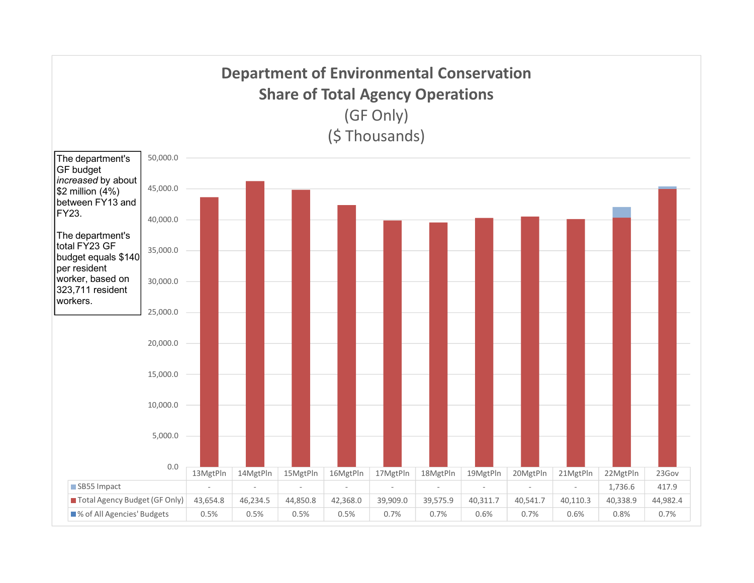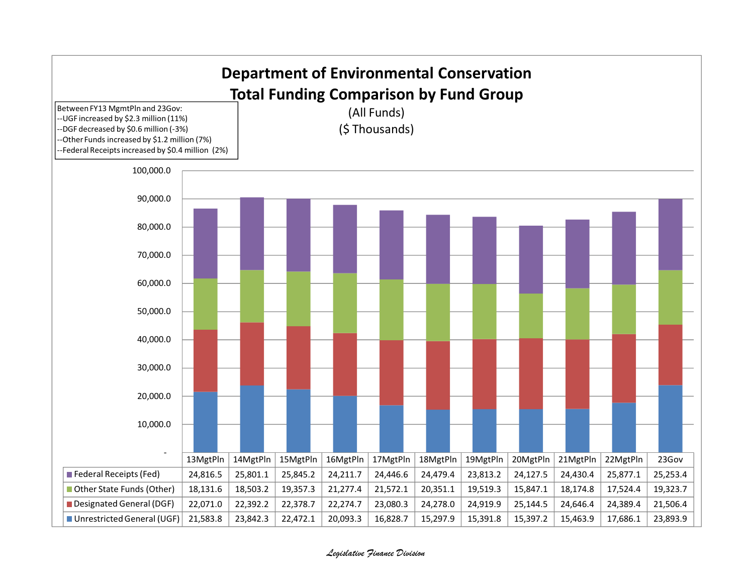